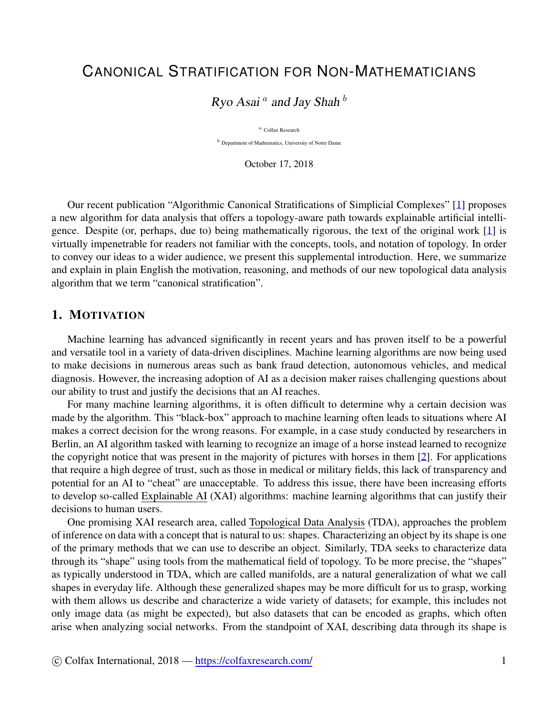# CANONICAL STRATIFICATION FOR NON-MATHEMATICIANS

Ryo Asai *a* and Jay Shah *b*

*<sup>a</sup>* Colfax Research

*<sup>b</sup>* Department of Mathematics, University of Notre Dame

October 17, 2018

Our recent publication "Algorithmic Canonical Stratifications of Simplicial Complexes" [\[1](#page-4-0)] proposes a new algorithm for data analysis that offers a topology-aware path towards explainable artificial intelligence. Despite (or, perhaps, due to) being mathematically rigorous, the text of the original work [\[1](#page-4-0)] is virtually impenetrable for readers not familiar with the concepts, tools, and notation of topology. In order to convey our ideas to a wider audience, we present this supplemental introduction. Here, we summarize and explain in plain English the motivation, reasoning, and methods of our new topological data analysis algorithm that we term "canonical stratification".

## 1. MOTIVATION

Machine learning has advanced significantly in recent years and has proven itself to be a powerful and versatile tool in a variety of data-driven disciplines. Machine learning algorithms are now being used to make decisions in numerous areas such as bank fraud detection, autonomous vehicles, and medical diagnosis. However, the increasing adoption of AI as a decision maker raises challenging questions about our ability to trust and justify the decisions that an AI reaches.

For many machine learning algorithms, it is often difficult to determine why a certain decision was made by the algorithm. This "black-box" approach to machine learning often leads to situations where AI makes a correct decision for the wrong reasons. For example, in a case study conducted by researchers in Berlin, an AI algorithm tasked with learning to recognize an image of a horse instead learned to recognize the copyright notice that was present in the majority of pictures with horses in them [\[2](#page-4-1)]. For applications that require a high degree of trust, such as those in medical or military fields, this lack of transparency and potential for an AI to "cheat" are unacceptable. To address this issue, there have been increasing efforts to develop so-called Explainable AI (XAI) algorithms: machine learning algorithms that can justify their decisions to human users.

One promising XAI research area, called Topological Data Analysis (TDA), approaches the problem of inference on data with a concept that is natural to us: shapes. Characterizing an object by its shape is one of the primary methods that we can use to describe an object. Similarly, TDA seeks to characterize data through its "shape" using tools from the mathematical field of topology. To be more precise, the "shapes" as typically understood in TDA, which are called manifolds, are a natural generalization of what we call shapes in everyday life. Although these generalized shapes may be more difficult for us to grasp, working with them allows us describe and characterize a wide variety of datasets; for example, this includes not only image data (as might be expected), but also datasets that can be encoded as graphs, which often arise when analyzing social networks. From the standpoint of XAI, describing data through its shape is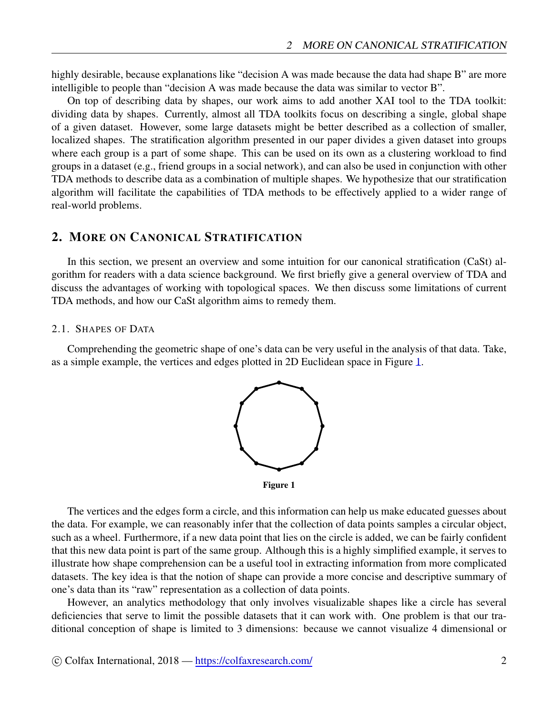highly desirable, because explanations like "decision A was made because the data had shape B" are more intelligible to people than "decision A was made because the data was similar to vector B".

On top of describing data by shapes, our work aims to add another XAI tool to the TDA toolkit: dividing data by shapes. Currently, almost all TDA toolkits focus on describing a single, global shape of a given dataset. However, some large datasets might be better described as a collection of smaller, localized shapes. The stratification algorithm presented in our paper divides a given dataset into groups where each group is a part of some shape. This can be used on its own as a clustering workload to find groups in a dataset (e.g., friend groups in a social network), and can also be used in conjunction with other TDA methods to describe data as a combination of multiple shapes. We hypothesize that our stratification algorithm will facilitate the capabilities of TDA methods to be effectively applied to a wider range of real-world problems.

## 2. MORE ON CANONICAL STRATIFICATION

In this section, we present an overview and some intuition for our canonical stratification (CaSt) algorithm for readers with a data science background. We first briefly give a general overview of TDA and discuss the advantages of working with topological spaces. We then discuss some limitations of current TDA methods, and how our CaSt algorithm aims to remedy them.

### 2.1. SHAPES OF DATA

<span id="page-1-0"></span>Comprehending the geometric shape of one's data can be very useful in the analysis of that data. Take, as a simple example, the vertices and edges plotted in 2D Euclidean space in Figure [1](#page-1-0).



Figure 1

The vertices and the edges form a circle, and this information can help us make educated guesses about the data. For example, we can reasonably infer that the collection of data points samples a circular object, such as a wheel. Furthermore, if a new data point that lies on the circle is added, we can be fairly confident that this new data point is part of the same group. Although this is a highly simplified example, it serves to illustrate how shape comprehension can be a useful tool in extracting information from more complicated datasets. The key idea is that the notion of shape can provide a more concise and descriptive summary of one's data than its "raw" representation as a collection of data points.

However, an analytics methodology that only involves visualizable shapes like a circle has several deficiencies that serve to limit the possible datasets that it can work with. One problem is that our traditional conception of shape is limited to 3 dimensions: because we cannot visualize 4 dimensional or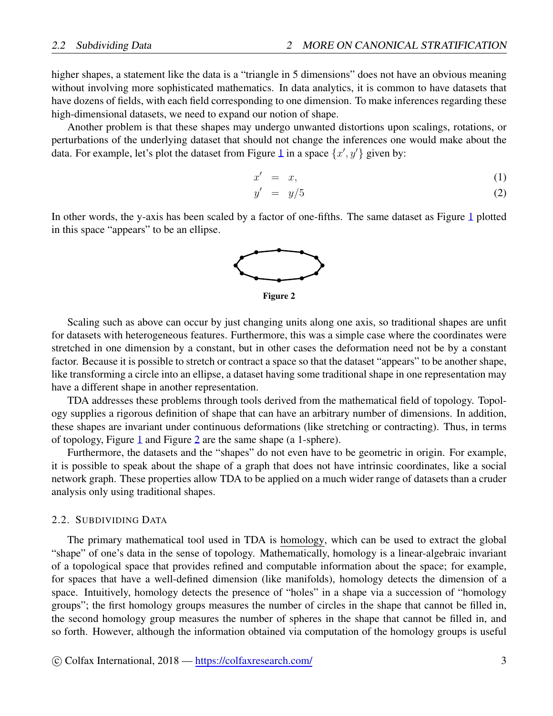higher shapes, a statement like the data is a "triangle in 5 dimensions" does not have an obvious meaning without involving more sophisticated mathematics. In data analytics, it is common to have datasets that have dozens of fields, with each field corresponding to one dimension. To make inferences regarding these high-dimensional datasets, we need to expand our notion of shape.

Another problem is that these shapes may undergo unwanted distortions upon scalings, rotations, or perturbations of the underlying dataset that should not change the inferences one would make about the data. For example, let's plot the dataset from Figure [1](#page-1-0) in a space  $\{x', y'\}$  given by:

$$
x' = x,\tag{1}
$$

$$
y' = y/5 \tag{2}
$$

<span id="page-2-0"></span>In other words, the y-axis has been scaled by a factor of one-fifths. The same dataset as Figure [1](#page-1-0) plotted in this space "appears" to be an ellipse.



Figure 2

Scaling such as above can occur by just changing units along one axis, so traditional shapes are unfit for datasets with heterogeneous features. Furthermore, this was a simple case where the coordinates were stretched in one dimension by a constant, but in other cases the deformation need not be by a constant factor. Because it is possible to stretch or contract a space so that the dataset "appears" to be another shape, like transforming a circle into an ellipse, a dataset having some traditional shape in one representation may have a different shape in another representation.

TDA addresses these problems through tools derived from the mathematical field of topology. Topology supplies a rigorous definition of shape that can have an arbitrary number of dimensions. In addition, these shapes are invariant under continuous deformations (like stretching or contracting). Thus, in terms of topology, Figure [1](#page-1-0) and Figure [2](#page-2-0) are the same shape (a 1-sphere).

Furthermore, the datasets and the "shapes" do not even have to be geometric in origin. For example, it is possible to speak about the shape of a graph that does not have intrinsic coordinates, like a social network graph. These properties allow TDA to be applied on a much wider range of datasets than a cruder analysis only using traditional shapes.

#### 2.2. SUBDIVIDING DATA

The primary mathematical tool used in TDA is homology, which can be used to extract the global "shape" of one's data in the sense of topology. Mathematically, homology is a linear-algebraic invariant of a topological space that provides refined and computable information about the space; for example, for spaces that have a well-defined dimension (like manifolds), homology detects the dimension of a space. Intuitively, homology detects the presence of "holes" in a shape via a succession of "homology groups"; the first homology groups measures the number of circles in the shape that cannot be filled in, the second homology group measures the number of spheres in the shape that cannot be filled in, and so forth. However, although the information obtained via computation of the homology groups is useful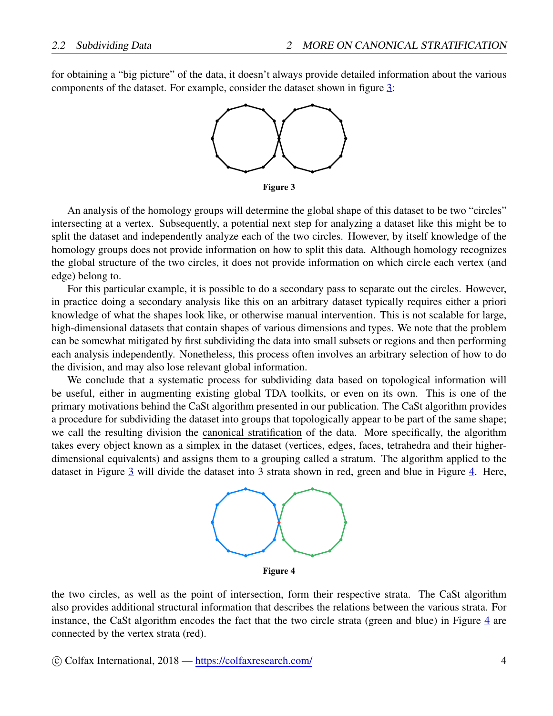<span id="page-3-0"></span>for obtaining a "big picture" of the data, it doesn't always provide detailed information about the various components of the dataset. For example, consider the dataset shown in figure [3](#page-3-0):



Figure 3

An analysis of the homology groups will determine the global shape of this dataset to be two "circles" intersecting at a vertex. Subsequently, a potential next step for analyzing a dataset like this might be to split the dataset and independently analyze each of the two circles. However, by itself knowledge of the homology groups does not provide information on how to split this data. Although homology recognizes the global structure of the two circles, it does not provide information on which circle each vertex (and edge) belong to.

For this particular example, it is possible to do a secondary pass to separate out the circles. However, in practice doing a secondary analysis like this on an arbitrary dataset typically requires either a priori knowledge of what the shapes look like, or otherwise manual intervention. This is not scalable for large, high-dimensional datasets that contain shapes of various dimensions and types. We note that the problem can be somewhat mitigated by first subdividing the data into small subsets or regions and then performing each analysis independently. Nonetheless, this process often involves an arbitrary selection of how to do the division, and may also lose relevant global information.

<span id="page-3-1"></span>We conclude that a systematic process for subdividing data based on topological information will be useful, either in augmenting existing global TDA toolkits, or even on its own. This is one of the primary motivations behind the CaSt algorithm presented in our publication. The CaSt algorithm provides a procedure for subdividing the dataset into groups that topologically appear to be part of the same shape; we call the resulting division the canonical stratification of the data. More specifically, the algorithm takes every object known as a simplex in the dataset (vertices, edges, faces, tetrahedra and their higherdimensional equivalents) and assigns them to a grouping called a stratum. The algorithm applied to the dataset in Figure [3](#page-3-0) will divide the dataset into 3 strata shown in red, green and blue in Figure [4.](#page-3-1) Here,



Figure 4

the two circles, as well as the point of intersection, form their respective strata. The CaSt algorithm also provides additional structural information that describes the relations between the various strata. For instance, the CaSt algorithm encodes the fact that the two circle strata (green and blue) in Figure [4](#page-3-1) are connected by the vertex strata (red).

*⃝*c Colfax International, 2018 — <https://colfaxresearch.com/> 4